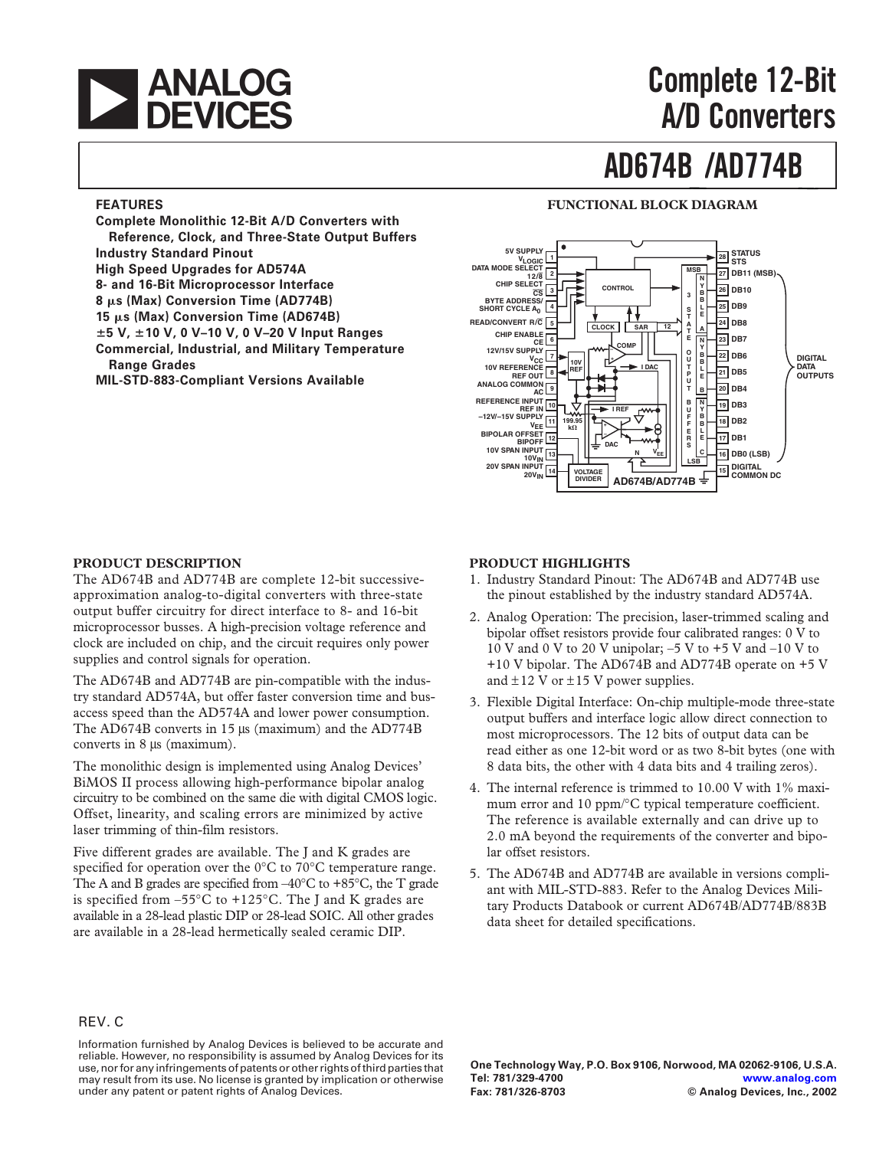

# **A/D Converters**

# **AD674B /AD774B**

#### **FEATURES**

**Complete Monolithic 12-Bit A/D Converters with Reference, Clock, and Three-State Output Buffers Industry Standard Pinout High Speed Upgrades for AD574A 8- and 16-Bit Microprocessor Interface 8** -**s (Max) Conversion Time (AD774B)** 15 μs (Max) Conversion Time (AD674B) **5 V, 10 V, 0 V–10 V, 0 V–20 V Input Ranges Commercial, Industrial, and Military Temperature Range Grades MIL-STD-883-Compliant Versions Available**

#### **FUNCTIONAL BLOCK DIAGRAM**



#### **PRODUCT DESCRIPTION**

The AD674B and AD774B are complete 12-bit successiveapproximation analog-to-digital converters with three-state output buffer circuitry for direct interface to 8- and 16-bit microprocessor busses. A high-precision voltage reference and clock are included on chip, and the circuit requires only power supplies and control signals for operation.

The AD674B and AD774B are pin-compatible with the industry standard AD574A, but offer faster conversion time and busaccess speed than the AD574A and lower power consumption. The AD674B converts in 15  $\mu$ s (maximum) and the AD774B converts in 8 µs (maximum).

The monolithic design is implemented using Analog Devices' BiMOS II process allowing high-performance bipolar analog circuitry to be combined on the same die with digital CMOS logic. Offset, linearity, and scaling errors are minimized by active laser trimming of thin-film resistors.

Five different grades are available. The J and K grades are specified for operation over the 0°C to 70°C temperature range. The A and B grades are specified from  $-40^{\circ}$ C to  $+85^{\circ}$ C, the T grade is specified from  $-55^{\circ}$ C to  $+125^{\circ}$ C. The J and K grades are available in a 28-lead plastic DIP or 28-lead SOIC. All other grades are available in a 28-lead hermetically sealed ceramic DIP.

#### **PRODUCT HIGHLIGHTS**

- 1. Industry Standard Pinout: The AD674B and AD774B use the pinout established by the industry standard AD574A.
- 2. Analog Operation: The precision, laser-trimmed scaling and bipolar offset resistors provide four calibrated ranges: 0 V to 10 V and 0 V to 20 V unipolar;  $-5$  V to  $+5$  V and  $-10$  V to +10 V bipolar. The AD674B and AD774B operate on +5 V and  $\pm$ 12 V or  $\pm$ 15 V power supplies.
- 3. Flexible Digital Interface: On-chip multiple-mode three-state output buffers and interface logic allow direct connection to most microprocessors. The 12 bits of output data can be read either as one 12-bit word or as two 8-bit bytes (one with 8 data bits, the other with 4 data bits and 4 trailing zeros).
- 4. The internal reference is trimmed to 10.00 V with 1% maximum error and 10 ppm/°C typical temperature coefficient. The reference is available externally and can drive up to 2.0 mA beyond the requirements of the converter and bipolar offset resistors.
- 5. The AD674B and AD774B are available in versions compliant with MIL-STD-883. Refer to the Analog Devices Military Products Databook or current AD674B/AD774B/883B data sheet for detailed specifications.

#### REV. C

Information furnished by Analog Devices is believed to be accurate and reliable. However, no responsibility is assumed by Analog Devices for its use, nor for any infringements of patents or other rights of third parties that may result from its use. No license is granted by implication or otherwise under any patent or patent rights of Analog Devices.

**One Technology Way, P.O. Box 9106, Norwood, MA 02062-9106, U.S.A. Tel: 781/329-4700 [www.analog.com](http://www.analog.com) Fax: 781/326-8703 © Analog Devices, Inc., 2002**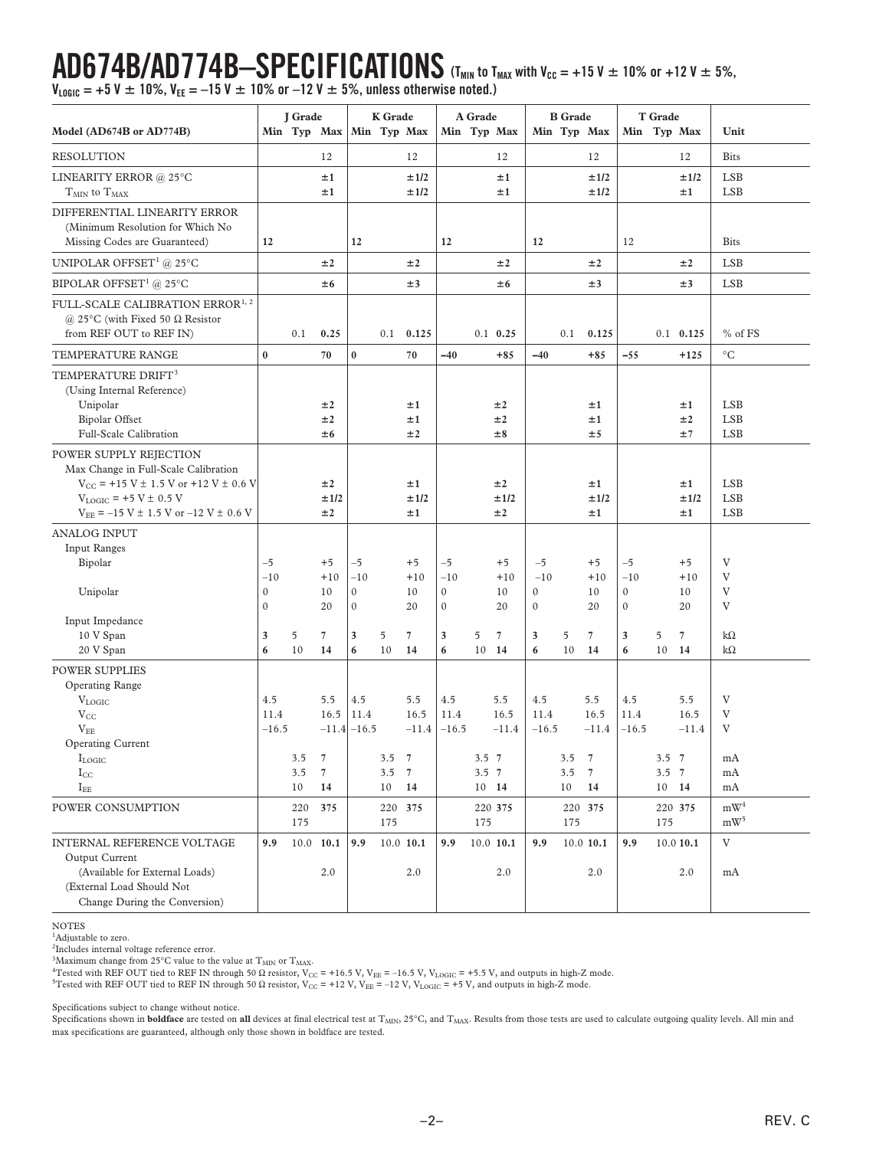# **AD674B/AD774B-SPECIFICATIONS**  $(T_{MIN}$  to  $T_{MAX}$  with  $V_{CC} = +15$  V  $\pm$  10% or +12 V  $\pm$  5%,

**VLOGIC = +5 V 10%, VEE = –15 V 10% or –12 V 5%, unless otherwise noted.)**

|                                                                                                                                                                                                            | J Grade                      |            | <b>K</b> Grade                     |                                | A Grade              |                                          | <b>B</b> Grade                |                                 |                        | T Grade                           |            |                                                             |                               |                             |                        |                                        |
|------------------------------------------------------------------------------------------------------------------------------------------------------------------------------------------------------------|------------------------------|------------|------------------------------------|--------------------------------|----------------------|------------------------------------------|-------------------------------|---------------------------------|------------------------|-----------------------------------|------------|-------------------------------------------------------------|-------------------------------|-----------------------------|------------------------|----------------------------------------|
| Model (AD674B or AD774B)                                                                                                                                                                                   |                              |            | Min Typ Max                        |                                |                      | Min Typ Max                              |                               |                                 | Min Typ Max            |                                   |            | Min Typ Max                                                 | Min Typ Max                   |                             |                        | Unit                                   |
| <b>RESOLUTION</b>                                                                                                                                                                                          |                              |            | 12                                 |                                |                      | 12                                       |                               |                                 | 12                     |                                   |            | 12                                                          |                               |                             | 12                     | <b>Bits</b>                            |
| LINEARITY ERROR @ 25°C<br>$T_{MIN}$ to $T_{MAX}$                                                                                                                                                           |                              |            | ±1<br>±1                           |                                |                      | ±1/2<br>±1/2                             |                               |                                 | ±1<br>±1               |                                   |            | ±1/2<br>±1/2                                                |                               |                             | ±1/2<br>±1             | <b>LSB</b><br><b>LSB</b>               |
| DIFFERENTIAL LINEARITY ERROR<br>(Minimum Resolution for Which No<br>Missing Codes are Guaranteed)                                                                                                          | 12                           |            |                                    | 12                             |                      |                                          | 12                            |                                 |                        | 12                                |            |                                                             | 12                            |                             |                        | <b>Bits</b>                            |
| UNIPOLAR OFFSET <sup>1</sup> @ 25°C                                                                                                                                                                        |                              |            | ±2                                 |                                |                      | ±2                                       |                               |                                 | ±2                     |                                   |            | ±2                                                          |                               |                             | ±2                     | <b>LSB</b>                             |
| BIPOLAR OFFSET <sup>1</sup> @ 25°C                                                                                                                                                                         |                              |            | ±6                                 |                                |                      | ±3                                       |                               |                                 | ±6                     |                                   |            | ±3                                                          |                               |                             | ±3                     | <b>LSB</b>                             |
| FULL-SCALE CALIBRATION ERROR $^{1, \, 2}$<br>@ 25°C (with Fixed 50 $\Omega$ Resistor<br>from REF OUT to REF IN)                                                                                            |                              | 0.1        | 0.25                               |                                | 0.1                  | 0.125                                    |                               |                                 | $0.1$ 0.25             |                                   | 0.1        | 0.125                                                       |                               |                             | $0.1$ 0.125            | $%$ of FS                              |
| TEMPERATURE RANGE                                                                                                                                                                                          | $\bf{0}$                     |            | 70                                 | $\bf{0}$                       |                      | 70                                       | $-40$                         |                                 | $+85$                  | $-40$                             |            | $+85$                                                       | $-55$                         |                             | $+125$                 | $^{\circ}C$                            |
| TEMPERATURE DRIFT <sup>3</sup><br>(Using Internal Reference)<br>Unipolar<br><b>Bipolar Offset</b><br>Full-Scale Calibration                                                                                |                              |            | ±2<br>±2<br>±6                     |                                |                      | ±1<br>±1<br>±2                           |                               |                                 | ±2<br>±2<br>±8         |                                   |            | ±1<br>±1<br>±5                                              |                               |                             | ±1<br>±2<br>±7         | <b>LSB</b><br><b>LSB</b><br><b>LSB</b> |
| POWER SUPPLY REJECTION<br>Max Change in Full-Scale Calibration<br>$V_{CC}$ = +15 V $\pm$ 1.5 V or +12 V $\pm$ 0.6 V<br>$V_{LOGIC}$ = +5 V $\pm$ 0.5 V<br>$V_{EE}$ = -15 V $\pm$ 1.5 V or -12 V $\pm$ 0.6 V |                              |            | ±2<br>±1/2<br>±2                   |                                |                      | ±1<br>±1/2<br>±1                         |                               |                                 | ±2<br>±1/2<br>±2       |                                   |            | ±1<br>±1/2<br>±1                                            |                               |                             | ±1<br>±1/2<br>±1       | <b>LSB</b><br><b>LSB</b><br><b>LSB</b> |
| <b>ANALOG INPUT</b><br><b>Input Ranges</b><br>Bipolar<br>Unipolar                                                                                                                                          | $-5$<br>$-10$<br>$\mathbf 0$ |            | $+5$<br>$+10$<br>10                | $-5$<br>$-10$<br>$\mathbf{0}$  |                      | $+5$<br>$+10$<br>10                      | $-5$<br>$-10$<br>$\mathbf{0}$ |                                 | $+5$<br>$+10$<br>10    | $-5$<br>$-10$<br>$\boldsymbol{0}$ |            | $+5$<br>$+10$<br>10                                         | $-5$<br>$-10$<br>$\mathbf{0}$ |                             | $+5$<br>$+10$<br>10    | V<br>V<br>V                            |
| Input Impedance<br>10 V Span<br>20 V Span                                                                                                                                                                  | $\mathbf 0$<br>3<br>6        | 5<br>10    | 20<br>7<br>14                      | $\boldsymbol{0}$<br>3<br>6     | 5<br>10              | 20<br>7<br>14                            | $\mathbf{0}$<br>3<br>6        | 5<br>10 14                      | 20<br>$\overline{7}$   | $\boldsymbol{0}$<br>3<br>6        | 5<br>10    | 20<br>7<br>14                                               | $\mathbf{0}$<br>3<br>6        | 5<br>10                     | 20<br>7<br>14          | V<br>$k\Omega$<br>$k\Omega$            |
| <b>POWER SUPPLIES</b><br>Operating Range<br>$\rm V_{LOGIC}$<br>$V_{CC}$<br>$V_{EE}$<br>Operating Current<br>$I_{LOGIC}$<br>$I_{\rm CC}$                                                                    | 4.5<br>11.4<br>$-16.5$       | 3.5<br>3.5 | 5.5<br>16.5<br>7<br>$\overline{7}$ | 4.5<br>11.4<br>$-11.4$ $-16.5$ | $3.5 \quad 7$<br>3.5 | 5.5<br>16.5<br>$-11.4$<br>$\overline{7}$ | 4.5<br>11.4<br>$-16.5$        | $3.5 \t7$<br>$3.5 \t7$<br>10 14 | 5.5<br>16.5<br>$-11.4$ | 4.5<br>11.4<br>$-16.5$            | 3.5<br>3.5 | 5.5<br>16.5<br>$-11.4$<br>$\overline{7}$<br>$7\phantom{.0}$ | 4.5<br>11.4<br>$-16.5$        | $3.5 \quad 7$<br>$3.5 \t 7$ | 5.5<br>16.5<br>$-11.4$ | V<br>V<br>V<br>mA<br>mA                |
| $I_{EE}$<br>POWER CONSUMPTION                                                                                                                                                                              |                              | 10<br>220  | 14<br>375                          |                                | 10<br>220 375        | 14                                       |                               |                                 | 220 375                |                                   | 10         | 14<br>220 375                                               |                               | 10 14                       | 220 375                | mA<br>$\bold{m}\bold{W}^4$             |
|                                                                                                                                                                                                            |                              | 175        |                                    |                                | 175                  |                                          |                               | 175                             |                        |                                   | 175        |                                                             |                               | 175                         |                        | $mW^5$                                 |
| INTERNAL REFERENCE VOLTAGE<br>Output Current<br>(Available for External Loads)<br>(External Load Should Not<br>Change During the Conversion)                                                               | 9.9                          |            | $10.0$ 10.1<br>2.0                 | 9.9                            |                      | $10.0$ 10.1<br>2.0                       | 9.9                           |                                 | 10.0 10.1<br>2.0       | 9.9                               |            | 10.0 10.1<br>2.0                                            | 9.9                           |                             | 10.0 10.1<br>2.0       | V<br>mA                                |

NOTES

<sup>1</sup>Adjustable to zero.

<sup>2</sup>Includes internal voltage reference error.

<sup>3</sup>Maximum change from 25°C value to the value at  $T_{\text{MIN}}$  or  $T_{\text{MAX}}$ .

<sup>4</sup>Tested with REF OUT tied to REF IN through 50  $\Omega$  resistor, V<sub>CC</sub> = +16.5 V, V<sub>EE</sub> = –16.5 V, V<sub>LOGIC</sub> = +5.5 V, and outputs in high-Z mode.

<sup>5</sup>Tested with REF OUT tied to REF IN through 50 Ω resistor, V<sub>CC</sub> = +12 V, V<sub>EE</sub> = -12 V, V<sub>LOGIC</sub> = +5 V, and outputs in high-Z mode.

Specifications subject to change without notice.

Specifications shown in **boldface** are tested on all devices at final electrical test at T<sub>MIN</sub>, 25°C, and T<sub>MAX</sub>. Results from those tests are used to calculate outgoing quality levels. All min and max specifications are guaranteed, although only those shown in boldface are tested.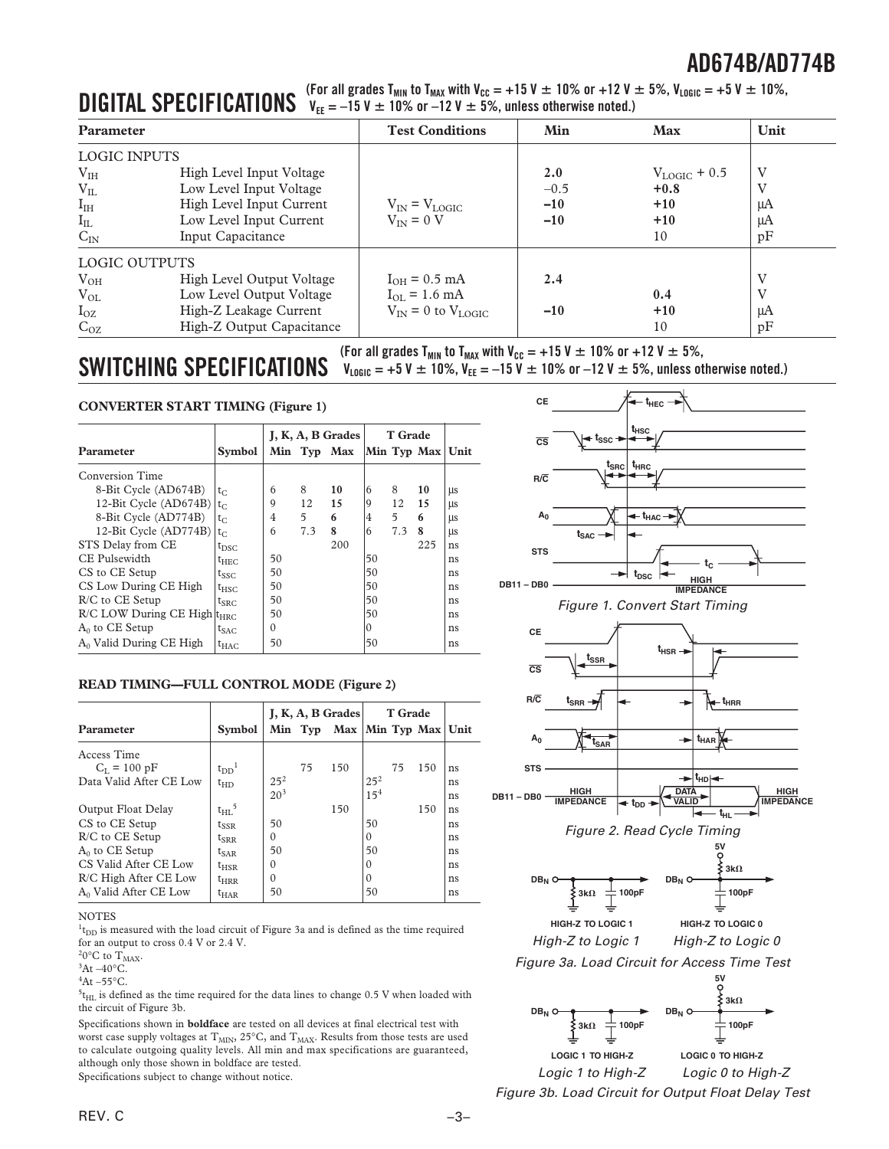# **DIGITAL SPECIFICATIONS**  $V_{EE} = -15$  V  $\pm$  10% or  $-12$  V  $\pm$  5%, unless otherwise noted.)<br>

| <b>Parameter</b>     |                                              | <b>Test Conditions</b>                    | Min    | <b>Max</b>        | Unit     |
|----------------------|----------------------------------------------|-------------------------------------------|--------|-------------------|----------|
| LOGIC INPUTS         |                                              |                                           |        |                   |          |
| V <sub>IH</sub>      | High Level Input Voltage                     |                                           | 2.0    | $V_{LOGIC}$ + 0.5 | V        |
| $V_{IL}$             | Low Level Input Voltage                      |                                           | $-0.5$ | $+0.8$            | V        |
| I <sub>IH</sub>      | High Level Input Current                     | $V_{IN} = V_{LOGIC}$                      | $-10$  | $+10$             | μA       |
| $I_{IL}$<br>$C_{IN}$ | Low Level Input Current<br>Input Capacitance | $V_{IN} = 0 V$                            | $-10$  | $+10$<br>10       | μA<br>pF |
| <b>LOGIC OUTPUTS</b> |                                              |                                           |        |                   |          |
| $V_{OH}$             | High Level Output Voltage                    | $I_{OH} = 0.5$ mA                         | 2.4    |                   | V        |
| $V_{OL}$             | Low Level Output Voltage                     | $I_{\text{OL}} = 1.6 \text{ mA}$          |        | 0.4               | V        |
| $I_{OZ}$             | High-Z Leakage Current                       | $V_{\text{IN}} = 0$ to $V_{\text{LOGIC}}$ | $-10$  | $+10$             | μA       |
| $C_{OZ}$             | High-Z Output Capacitance                    |                                           |        | 10                | pF       |

 $\textbf{SWITCHING SPECIFICATIONS}$  (For all grades T<sub>MIN</sub> to T<sub>MAX</sub> with V<sub>CC</sub> = +15 V  $\pm$  10% or +12 V  $\pm$  5%, unless otherwise noted.)

#### **CONVERTER START TIMING (Figure 1)**

|                                         |                     | J, K, A, B Grades |     |             | <b>T</b> Grade |     |                    |    |
|-----------------------------------------|---------------------|-------------------|-----|-------------|----------------|-----|--------------------|----|
| Parameter                               | <b>Symbol</b>       |                   |     | Min Typ Max |                |     | Min Typ Max   Unit |    |
| Conversion Time                         |                     |                   |     |             |                |     |                    |    |
| 8-Bit Cycle (AD674B)                    | $t_{C}$             | 6                 | 8   | 10          | 6              | 8   | 10                 | μs |
| 12-Bit Cycle (AD674B) $ t_C $           |                     | 9                 | 12  | 15          | 9              | 12  | 15                 | μs |
| 8-Bit Cycle (AD774B)                    | $t_{C}$             | 4                 | 5   | 6           | 4              | 5   | 6                  | μs |
| 12-Bit Cycle (AD774B)                   | $t_{C}$             | 6                 | 7.3 | 8           | 6              | 7.3 | 8                  | μs |
| STS Delay from CE                       | $t_{\rm DSC}$       |                   |     | 200         |                |     | 225                | ns |
| CE Pulsewidth                           | t <sub>he C</sub>   | 50                |     |             | 50             |     |                    | ns |
| CS to CE Setup                          | tssc                | 50                |     |             | 50             |     |                    | ns |
| CS Low During CE High                   | $t_{HSC}$           | 50                |     |             | 50             |     |                    | ns |
| R/C to CE Setup                         | $t_{\text{SRC}}$    | 50                |     |             | 50             |     |                    | ns |
| R/C LOW During CE High t <sub>HRC</sub> |                     | 50                |     |             | 50             |     |                    | ns |
| $A_0$ to CE Setup                       | $t_{SAC}$           | $\mathbf{0}$      |     |             | 0              |     |                    | ns |
| $A_0$ Valid During CE High              | $\tau_{\text{HAC}}$ | 50                |     |             | 50             |     |                    | ns |

#### **READ TIMING—FULL CONTROL MODE (Figure 2)**

|                                   |                       | $J, K, A, B$ Grades |    |                              | <b>T</b> Grade  |    |     |    |
|-----------------------------------|-----------------------|---------------------|----|------------------------------|-----------------|----|-----|----|
| <b>Parameter</b>                  | <b>Symbol</b>         |                     |    | Min Typ Max Min Typ Max Unit |                 |    |     |    |
| Access Time                       |                       |                     |    |                              |                 |    |     |    |
| $C_{I} = 100 \text{ pF}$          | $t_{DD}$ <sup>1</sup> |                     | 75 | 150                          |                 | 75 | 150 | ns |
| Data Valid After CE Low           | $t_{HD}$              | $25^{2}$            |    |                              | $25^{2}$        |    |     | ns |
|                                   |                       | 20 <sup>3</sup>     |    |                              | 15 <sup>4</sup> |    |     | ns |
| Output Float Delay                | $t_{HL}$ <sup>5</sup> |                     |    | 150                          |                 |    | 150 | ns |
| CS to CE Setup                    | $t_{SSR}$             | 50                  |    |                              | 50              |    |     | ns |
| R/C to CE Setup                   | $t_{\rm SRR}$         | $\Omega$            |    |                              | $\Omega$        |    |     | ns |
| $A_0$ to CE Setup                 | $t_{\text{SAR}}$      | 50                  |    |                              | 50              |    |     | ns |
| CS Valid After CE Low             | $t_{HSR}$             | $\Omega$            |    |                              | $\Omega$        |    |     | ns |
| R/C High After CE Low             | $t_{\rm HRR}$         | $\Omega$            |    |                              | $\Omega$        |    |     | ns |
| A <sub>0</sub> Valid After CE Low | $t_{\rm HAR}$         | 50                  |    |                              | 50              |    |     | ns |

#### **NOTES**

 $1_{\text{tDD}}$  is measured with the load circuit of Figure 3a and is defined as the time required for an output to cross 0.4 V or 2.4 V.

<sup>2</sup>0°C to  $T_{MAX}$ .

 ${}^3$ At –40 ${}^{\circ}$ C.

 ${}^4$ At –55°C.

 $^{5}$ t<sub>HL</sub> is defined as the time required for the data lines to change 0.5 V when loaded with the circuit of Figure 3b.

Specifications shown in **boldface** are tested on all devices at final electrical test with worst case supply voltages at  $T_{MIN}$ ,  $25^{\circ}$ C, and  $T_{MAX}$ . Results from those tests are used to calculate outgoing quality levels. All min and max specifications are guaranteed, although only those shown in boldface are tested.

Specifications subject to change without notice.









Figure 3b. Load Circuit for Output Float Delay Test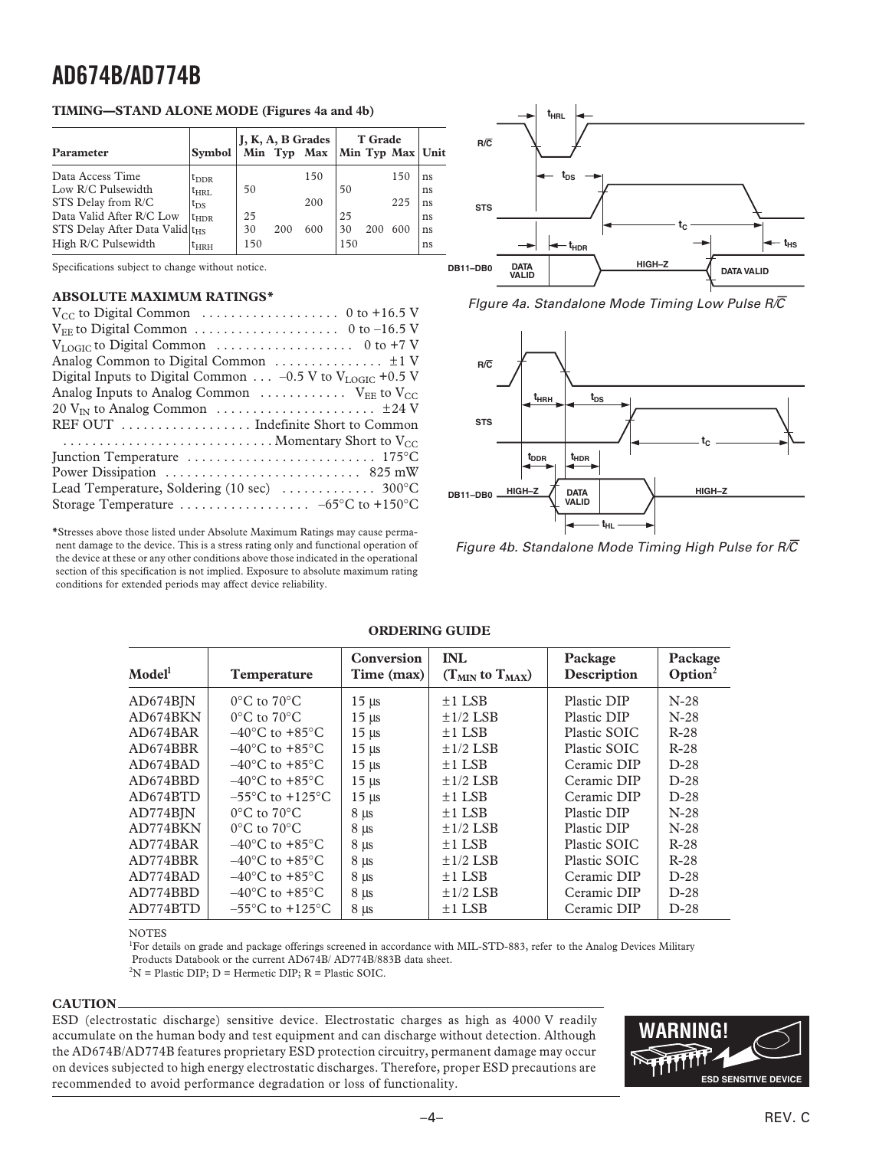#### **TIMING—STAND ALONE MODE (Figures 4a and 4b)**

|                                             |               |     |     | $J, K, A, B$ Grades | <b>T</b> Grade |     |                  |    |
|---------------------------------------------|---------------|-----|-----|---------------------|----------------|-----|------------------|----|
| <b>Parameter</b>                            | Svmbol        |     |     | Min Typ Max         |                |     | Min Typ Max Unit |    |
| Data Access Time                            | $t_{\rm DDR}$ |     |     | 150                 |                |     | 150              | ns |
| Low R/C Pulsewidth                          | $t_{\rm HRI}$ | 50  |     |                     | 50             |     |                  | ns |
| STS Delay from R/C                          | $t_{DS}$      |     |     | 200                 |                |     | 225              | ns |
| Data Valid After R/C Low                    | $t_{\rm HDR}$ | 25  |     |                     | 25             |     |                  | ns |
| STS Delay After Data Valid  t <sub>HS</sub> |               | 30  | 200 | 600                 | 30             | 200 | 600              | ns |
| High R/C Pulsewidth                         | $t_{HRH}$     | 150 |     |                     | 150            |     |                  | ns |

Specifications subject to change without notice.

#### **ABSOLUTE MAXIMUM RATINGS\***

| $V_{CC}$ to Digital Common $\ldots \ldots \ldots \ldots \ldots \ldots \ldots$ 0 to +16.5 V      |
|-------------------------------------------------------------------------------------------------|
|                                                                                                 |
|                                                                                                 |
|                                                                                                 |
| Digital Inputs to Digital Common $-0.5$ V to V <sub>LOGIC</sub> +0.5 V                          |
| Analog Inputs to Analog Common $\ldots \ldots \ldots \ldots$ V <sub>EE</sub> to V <sub>CC</sub> |
|                                                                                                 |
| REF OUT  Indefinite Short to Common                                                             |
|                                                                                                 |
|                                                                                                 |
|                                                                                                 |
|                                                                                                 |
|                                                                                                 |

**\***Stresses above those listed under Absolute Maximum Ratings may cause permanent damage to the device. This is a stress rating only and functional operation of the device at these or any other conditions above those indicated in the operational section of this specification is not implied. Exposure to absolute maximum rating conditions for extended periods may affect device reliability.



Figure 4a. Standalone Mode Timing Low Pulse R/ $\overline{C}$ 



Figure 4b. Standalone Mode Timing High Pulse for  $R/\overline{C}$ 

#### **ORDERING GUIDE**

| Temperature                         | Conversion<br>Time (max) | <b>INL</b><br>$(T_{MIN}$ to $T_{MAX}$ ) | Package<br>Description | Package<br>Option <sup>2</sup> |
|-------------------------------------|--------------------------|-----------------------------------------|------------------------|--------------------------------|
| $0^{\circ}$ C to $70^{\circ}$ C     | $15 \mu s$               | $\pm$ 1 LSB                             | Plastic DIP            | $N-28$                         |
| $0^{\circ}$ C to $70^{\circ}$ C     | $15 \mu s$               | $\pm 1/2$ LSB                           | Plastic DIP            | $N-28$                         |
| $-40^{\circ}$ C to $+85^{\circ}$ C  | $15 \mu s$               | $\pm$ 1 LSB                             | Plastic SOIC           | $R-28$                         |
| $-40^{\circ}$ C to $+85^{\circ}$ C  | $15 \mu s$               | $\pm$ 1/2 LSB                           | Plastic SOIC           | $R-28$                         |
| $-40^{\circ}$ C to $+85^{\circ}$ C  | $15 \mu s$               | $\pm$ 1 LSB                             | Ceramic DIP            | $D-28$                         |
| $-40^{\circ}$ C to $+85^{\circ}$ C  | $15 \mu s$               | $\pm 1/2$ LSB                           | Ceramic DIP            | $D-28$                         |
| $-55^{\circ}$ C to $+125^{\circ}$ C | $15 \mu s$               | $\pm$ 1 LSB                             | Ceramic DIP            | $D-28$                         |
| $0^{\circ}$ C to $70^{\circ}$ C     | $8 \mu s$                | $\pm$ 1 LSB                             | Plastic DIP            | $N-28$                         |
| $0^{\circ}$ C to $70^{\circ}$ C     | $8 \mu s$                | $\pm$ 1/2 LSB                           | Plastic DIP            | $N-28$                         |
| $-40^{\circ}$ C to $+85^{\circ}$ C  | $8 \mu s$                | $\pm$ 1 LSB                             | Plastic SOIC           | $R-28$                         |
| $-40^{\circ}$ C to $+85^{\circ}$ C  | $8 \mu s$                | $\pm 1/2$ LSB                           | Plastic SOIC           | $R-28$                         |
| $-40^{\circ}$ C to $+85^{\circ}$ C  | $8 \mu s$                | $\pm$ 1 LSB                             | Ceramic DIP            | $D-28$                         |
| $-40^{\circ}$ C to $+85^{\circ}$ C  | $8 \mu s$                | $\pm 1/2$ LSB                           | Ceramic DIP            | $D-28$                         |
| $-55^{\circ}$ C to $+125^{\circ}$ C | $8 \mu s$                | $\pm$ 1 LSB                             | Ceramic DIP            | $D-28$                         |
|                                     |                          |                                         |                        |                                |

NOTES

<sup>1</sup>For details on grade and package offerings screened in accordance with MIL-STD-883, refer to the Analog Devices Military Products Databook or the current AD674B/ AD774B/883B data sheet.  $2N =$  Plastic DIP; D = Hermetic DIP; R = Plastic SOIC.

#### **CAUTION**

ESD (electrostatic discharge) sensitive device. Electrostatic charges as high as 4000 V readily accumulate on the human body and test equipment and can discharge without detection. Although the AD674B/AD774B features proprietary ESD protection circuitry, permanent damage may occur on devices subjected to high energy electrostatic discharges. Therefore, proper ESD precautions are recommended to avoid performance degradation or loss of functionality.

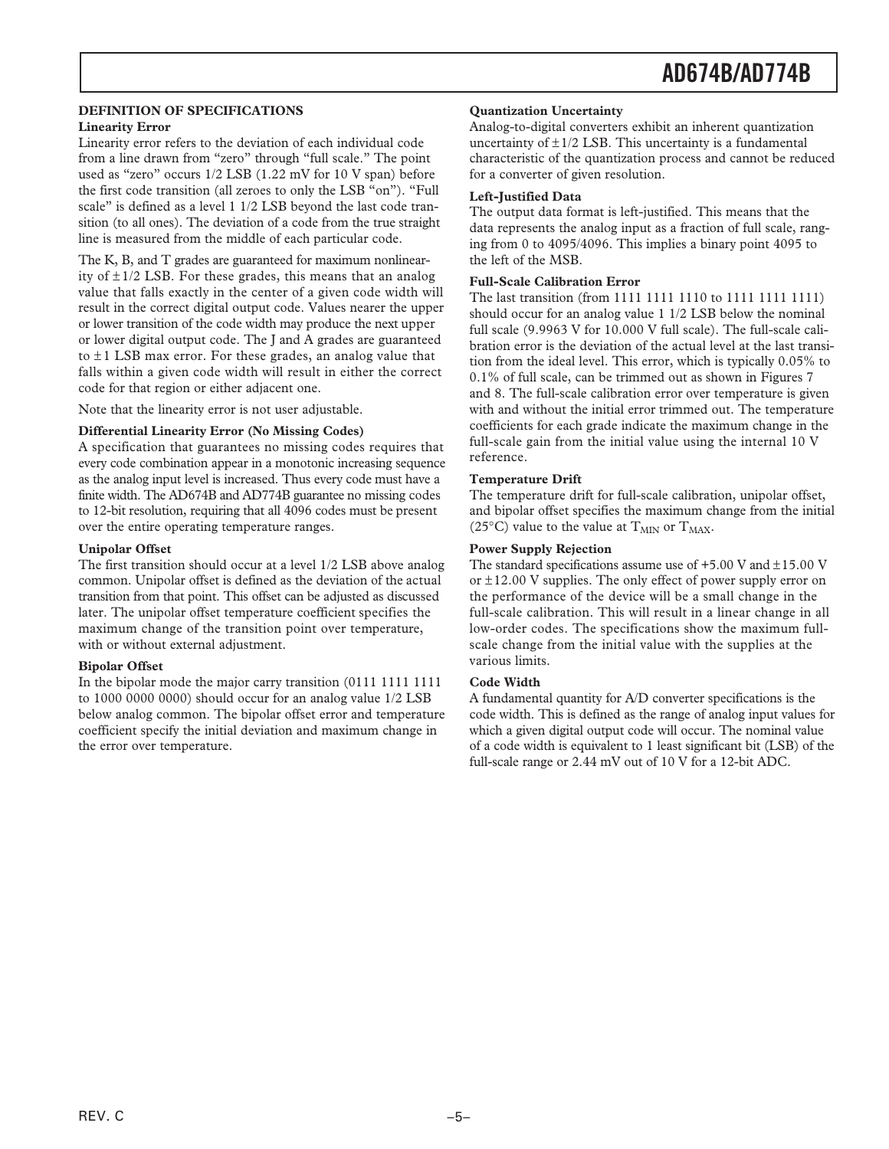#### **DEFINITION OF SPECIFICATIONS Linearity Error**

Linearity error refers to the deviation of each individual code from a line drawn from "zero" through "full scale." The point used as "zero" occurs 1/2 LSB (1.22 mV for 10 V span) before the first code transition (all zeroes to only the LSB "on"). "Full scale" is defined as a level 1 1/2 LSB beyond the last code transition (to all ones). The deviation of a code from the true straight line is measured from the middle of each particular code.

The K, B, and T grades are guaranteed for maximum nonlinearity of  $\pm$  1/2 LSB. For these grades, this means that an analog value that falls exactly in the center of a given code width will result in the correct digital output code. Values nearer the upper or lower transition of the code width may produce the next upper or lower digital output code. The J and A grades are guaranteed to  $\pm$ 1 LSB max error. For these grades, an analog value that falls within a given code width will result in either the correct code for that region or either adjacent one.

Note that the linearity error is not user adjustable.

#### **Differential Linearity Error (No Missing Codes)**

A specification that guarantees no missing codes requires that every code combination appear in a monotonic increasing sequence as the analog input level is increased. Thus every code must have a finite width. The AD674B and AD774B guarantee no missing codes to 12-bit resolution, requiring that all 4096 codes must be present over the entire operating temperature ranges.

#### **Unipolar Offset**

The first transition should occur at a level 1/2 LSB above analog common. Unipolar offset is defined as the deviation of the actual transition from that point. This offset can be adjusted as discussed later. The unipolar offset temperature coefficient specifies the maximum change of the transition point over temperature, with or without external adjustment.

#### **Bipolar Offset**

In the bipolar mode the major carry transition (0111 1111 1111 to 1000 0000 0000) should occur for an analog value 1/2 LSB below analog common. The bipolar offset error and temperature coefficient specify the initial deviation and maximum change in the error over temperature.

#### **Quantization Uncertainty**

Analog-to-digital converters exhibit an inherent quantization uncertainty of  $\pm$ 1/2 LSB. This uncertainty is a fundamental characteristic of the quantization process and cannot be reduced for a converter of given resolution.

#### **Left-Justified Data**

The output data format is left-justified. This means that the data represents the analog input as a fraction of full scale, ranging from 0 to 4095/4096. This implies a binary point 4095 to the left of the MSB.

#### **Full-Scale Calibration Error**

The last transition (from 1111 1111 1110 to 1111 1111 1111) should occur for an analog value 1 1/2 LSB below the nominal full scale (9.9963 V for 10.000 V full scale). The full-scale calibration error is the deviation of the actual level at the last transition from the ideal level. This error, which is typically 0.05% to 0.1% of full scale, can be trimmed out as shown in Figures 7 and 8. The full-scale calibration error over temperature is given with and without the initial error trimmed out. The temperature coefficients for each grade indicate the maximum change in the full-scale gain from the initial value using the internal 10 V reference.

#### **Temperature Drift**

The temperature drift for full-scale calibration, unipolar offset, and bipolar offset specifies the maximum change from the initial (25°C) value to the value at  $T_{MIN}$  or  $T_{MAX}$ .

#### **Power Supply Rejection**

The standard specifications assume use of  $+5.00$  V and  $\pm 15.00$  V or  $\pm 12.00$  V supplies. The only effect of power supply error on the performance of the device will be a small change in the full-scale calibration. This will result in a linear change in all low-order codes. The specifications show the maximum fullscale change from the initial value with the supplies at the various limits.

#### **Code Width**

A fundamental quantity for A/D converter specifications is the code width. This is defined as the range of analog input values for which a given digital output code will occur. The nominal value of a code width is equivalent to 1 least significant bit (LSB) of the full-scale range or 2.44 mV out of 10 V for a 12-bit ADC.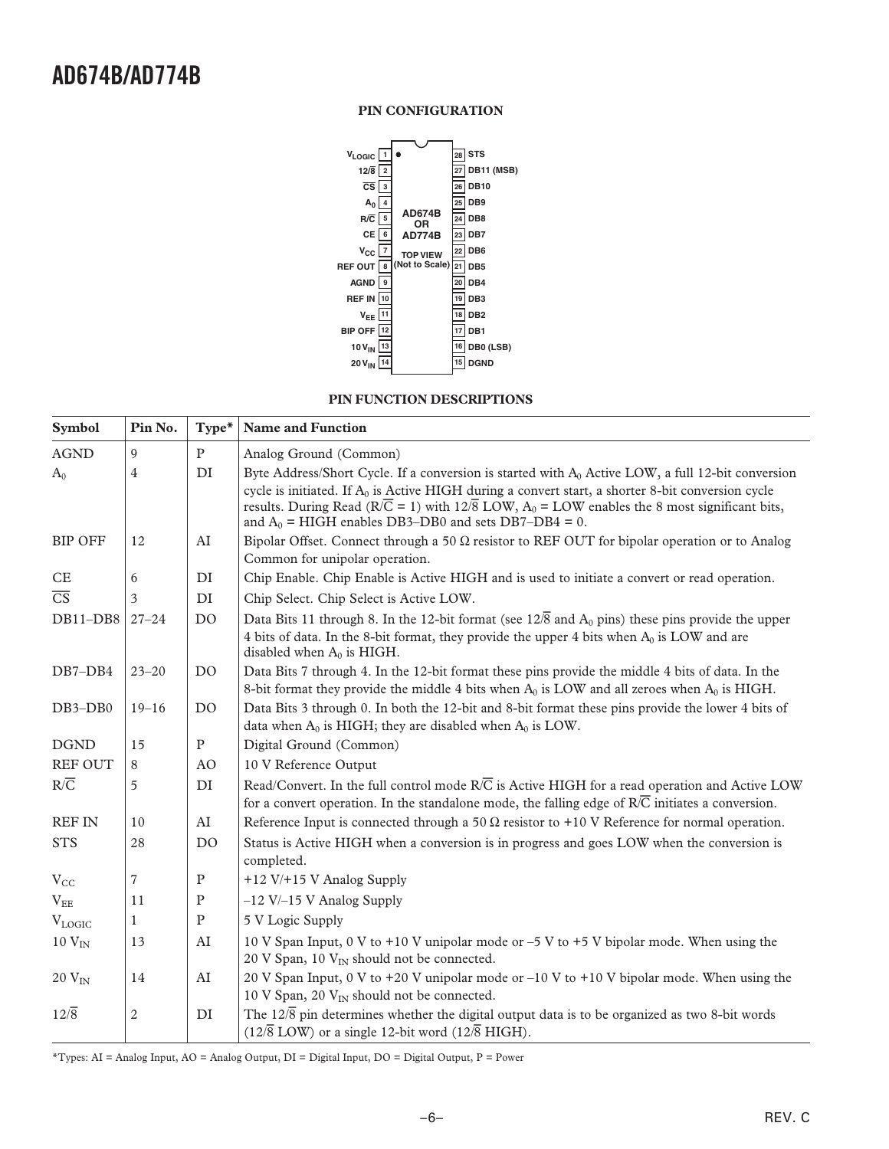#### **PIN CONFIGURATION**



#### **PIN FUNCTION DESCRIPTIONS**

| <b>Symbol</b>          | Pin No.      | Type*          | <b>Name and Function</b>                                                                                                                                                                                                                                                                                                                                                                                      |
|------------------------|--------------|----------------|---------------------------------------------------------------------------------------------------------------------------------------------------------------------------------------------------------------------------------------------------------------------------------------------------------------------------------------------------------------------------------------------------------------|
| <b>AGND</b>            | 9            | $\mathbf{P}$   | Analog Ground (Common)                                                                                                                                                                                                                                                                                                                                                                                        |
| $A_0$                  | 4            | DI             | Byte Address/Short Cycle. If a conversion is started with A <sub>0</sub> Active LOW, a full 12-bit conversion<br>cycle is initiated. If $A_0$ is Active HIGH during a convert start, a shorter 8-bit conversion cycle<br>results. During Read ( $R/\overline{C} = 1$ ) with $12/\overline{8}$ LOW, $A_0 =$ LOW enables the 8 most significant bits,<br>and $A_0$ = HIGH enables DB3–DB0 and sets DB7–DB4 = 0. |
| <b>BIP OFF</b>         | 12           | ${\rm AI}$     | Bipolar Offset. Connect through a 50 $\Omega$ resistor to REF OUT for bipolar operation or to Analog<br>Common for unipolar operation.                                                                                                                                                                                                                                                                        |
| CE                     | 6            | DI             | Chip Enable. Chip Enable is Active HIGH and is used to initiate a convert or read operation.                                                                                                                                                                                                                                                                                                                  |
| $\overline{\text{CS}}$ | 3            | DI             | Chip Select. Chip Select is Active LOW.                                                                                                                                                                                                                                                                                                                                                                       |
| DB11-DB8               | $27 - 24$    | D <sub>O</sub> | Data Bits 11 through 8. In the 12-bit format (see $12\sqrt{8}$ and $A_0$ pins) these pins provide the upper<br>4 bits of data. In the 8-bit format, they provide the upper 4 bits when $A_0$ is LOW and are<br>disabled when $A_0$ is HIGH.                                                                                                                                                                   |
| $DB7-DB4$              | $23 - 20$    | D <sub>O</sub> | Data Bits 7 through 4. In the 12-bit format these pins provide the middle 4 bits of data. In the<br>8-bit format they provide the middle 4 bits when $A_0$ is LOW and all zeroes when $A_0$ is HIGH.                                                                                                                                                                                                          |
| DB3-DB0                | $19 - 16$    | D <sub>O</sub> | Data Bits 3 through 0. In both the 12-bit and 8-bit format these pins provide the lower 4 bits of<br>data when $A_0$ is HIGH; they are disabled when $A_0$ is LOW.                                                                                                                                                                                                                                            |
| <b>DGND</b>            | 15           | $\mathbf{P}$   | Digital Ground (Common)                                                                                                                                                                                                                                                                                                                                                                                       |
| REF OUT                | 8            | AO             | 10 V Reference Output                                                                                                                                                                                                                                                                                                                                                                                         |
| $R/\overline{C}$       | 5            | DI             | Read/Convert. In the full control mode $R\overline{C}$ is Active HIGH for a read operation and Active LOW<br>for a convert operation. In the standalone mode, the falling edge of $R/\overline{C}$ initiates a conversion.                                                                                                                                                                                    |
| <b>REF IN</b>          | 10           | AI             | Reference Input is connected through a 50 $\Omega$ resistor to +10 V Reference for normal operation.                                                                                                                                                                                                                                                                                                          |
| <b>STS</b>             | 28           | D <sub>O</sub> | Status is Active HIGH when a conversion is in progress and goes LOW when the conversion is<br>completed.                                                                                                                                                                                                                                                                                                      |
| $V_{CC}$               | 7            | $\mathbf{P}$   | +12 V/+15 V Analog Supply                                                                                                                                                                                                                                                                                                                                                                                     |
| $\rm V_{EE}$           | 11           | ${\bf P}$      | $-12$ V/ $-15$ V Analog Supply                                                                                                                                                                                                                                                                                                                                                                                |
| <b>VLOGIC</b>          | $\mathbf{1}$ | $\mathbf{P}$   | 5 V Logic Supply                                                                                                                                                                                                                                                                                                                                                                                              |
| $10$ $V_{IN}$          | 13           | ${\rm AI}$     | 10 V Span Input, 0 V to +10 V unipolar mode or $-5$ V to +5 V bipolar mode. When using the<br>20 V Span, 10 V <sub>IN</sub> should not be connected.                                                                                                                                                                                                                                                          |
| $20 V_{IN}$            | 14           | AI             | 20 V Span Input, 0 V to +20 V unipolar mode or $-10$ V to +10 V bipolar mode. When using the<br>10 V Span, 20 V <sub>IN</sub> should not be connected.                                                                                                                                                                                                                                                        |
| $12\sqrt{8}$           | $\mathbf{2}$ | DI             | The $12\sqrt{8}$ pin determines whether the digital output data is to be organized as two 8-bit words<br>$(12\sqrt{8} \text{ LOW})$ or a single 12-bit word $(12\sqrt{8} \text{ HIGH})$ .                                                                                                                                                                                                                     |

\*Types: AI = Analog Input, AO = Analog Output, DI = Digital Input, DO = Digital Output, P = Power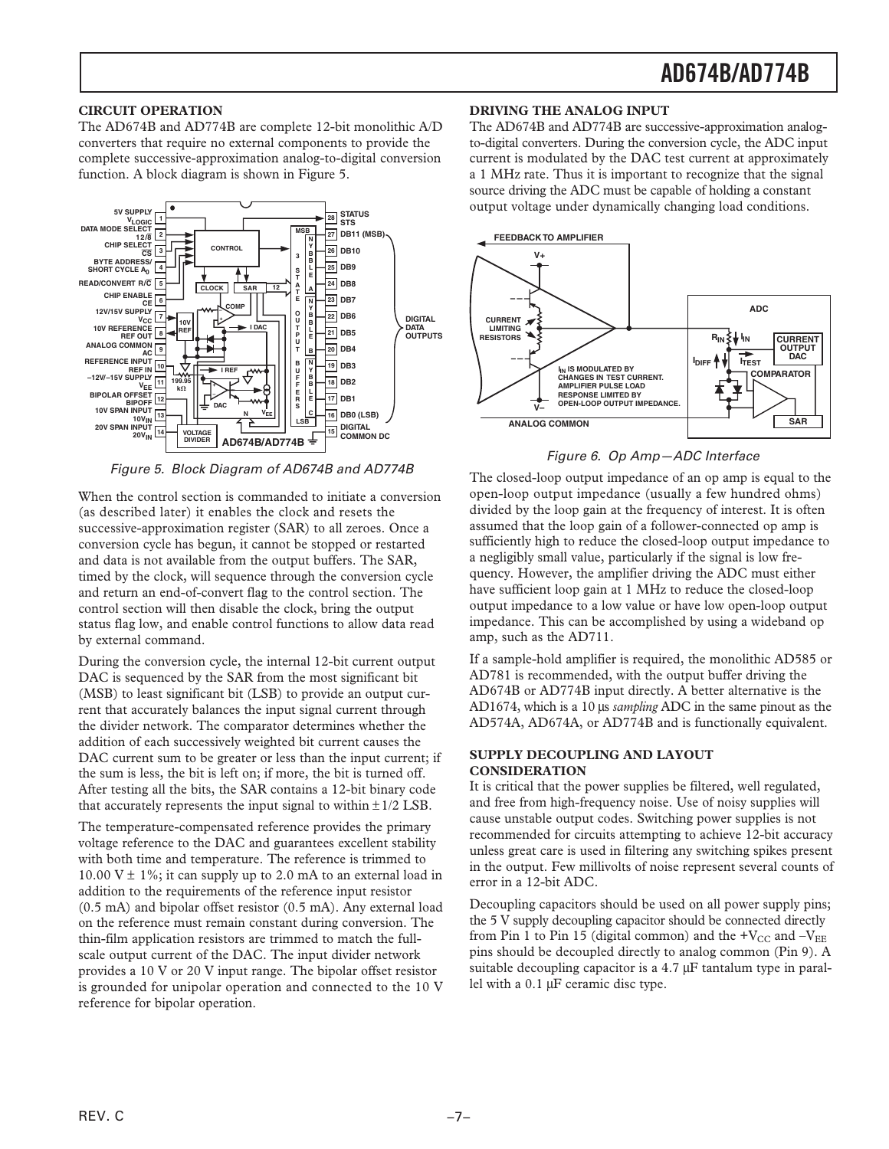#### **CIRCUIT OPERATION**

The AD674B and AD774B are complete 12-bit monolithic A/D converters that require no external components to provide the complete successive-approximation analog-to-digital conversion function. A block diagram is shown in Figure 5.



Figure 5. Block Diagram of AD674B and AD774B

When the control section is commanded to initiate a conversion (as described later) it enables the clock and resets the successive-approximation register (SAR) to all zeroes. Once a conversion cycle has begun, it cannot be stopped or restarted and data is not available from the output buffers. The SAR, timed by the clock, will sequence through the conversion cycle and return an end-of-convert flag to the control section. The control section will then disable the clock, bring the output status flag low, and enable control functions to allow data read by external command.

During the conversion cycle, the internal 12-bit current output DAC is sequenced by the SAR from the most significant bit (MSB) to least significant bit (LSB) to provide an output current that accurately balances the input signal current through the divider network. The comparator determines whether the addition of each successively weighted bit current causes the DAC current sum to be greater or less than the input current; if the sum is less, the bit is left on; if more, the bit is turned off. After testing all the bits, the SAR contains a 12-bit binary code that accurately represents the input signal to within  $\pm 1/2$  LSB.

The temperature-compensated reference provides the primary voltage reference to the DAC and guarantees excellent stability with both time and temperature. The reference is trimmed to 10.00 V  $\pm$  1%; it can supply up to 2.0 mA to an external load in addition to the requirements of the reference input resistor (0.5 mA) and bipolar offset resistor (0.5 mA). Any external load on the reference must remain constant during conversion. The thin-film application resistors are trimmed to match the fullscale output current of the DAC. The input divider network provides a 10 V or 20 V input range. The bipolar offset resistor is grounded for unipolar operation and connected to the 10 V reference for bipolar operation.

#### **DRIVING THE ANALOG INPUT**

The AD674B and AD774B are successive-approximation analogto-digital converters. During the conversion cycle, the ADC input current is modulated by the DAC test current at approximately a 1 MHz rate. Thus it is important to recognize that the signal source driving the ADC must be capable of holding a constant output voltage under dynamically changing load conditions.



Figure 6. Op Amp—ADC Interface

The closed-loop output impedance of an op amp is equal to the open-loop output impedance (usually a few hundred ohms) divided by the loop gain at the frequency of interest. It is often assumed that the loop gain of a follower-connected op amp is sufficiently high to reduce the closed-loop output impedance to a negligibly small value, particularly if the signal is low frequency. However, the amplifier driving the ADC must either have sufficient loop gain at 1 MHz to reduce the closed-loop output impedance to a low value or have low open-loop output impedance. This can be accomplished by using a wideband op amp, such as the AD711.

If a sample-hold amplifier is required, the monolithic AD585 or AD781 is recommended, with the output buffer driving the AD674B or AD774B input directly. A better alternative is the AD1674, which is a 10 µs *sampling* ADC in the same pinout as the AD574A, AD674A, or AD774B and is functionally equivalent.

#### **SUPPLY DECOUPLING AND LAYOUT CONSIDERATION**

It is critical that the power supplies be filtered, well regulated, and free from high-frequency noise. Use of noisy supplies will cause unstable output codes. Switching power supplies is not recommended for circuits attempting to achieve 12-bit accuracy unless great care is used in filtering any switching spikes present in the output. Few millivolts of noise represent several counts of error in a 12-bit ADC.

Decoupling capacitors should be used on all power supply pins; the 5 V supply decoupling capacitor should be connected directly from Pin 1 to Pin 15 (digital common) and the  $+V_{\text{CC}}$  and  $-V_{\text{EE}}$ pins should be decoupled directly to analog common (Pin 9). A suitable decoupling capacitor is a 4.7  $\mu$ F tantalum type in parallel with a 0.1 µF ceramic disc type.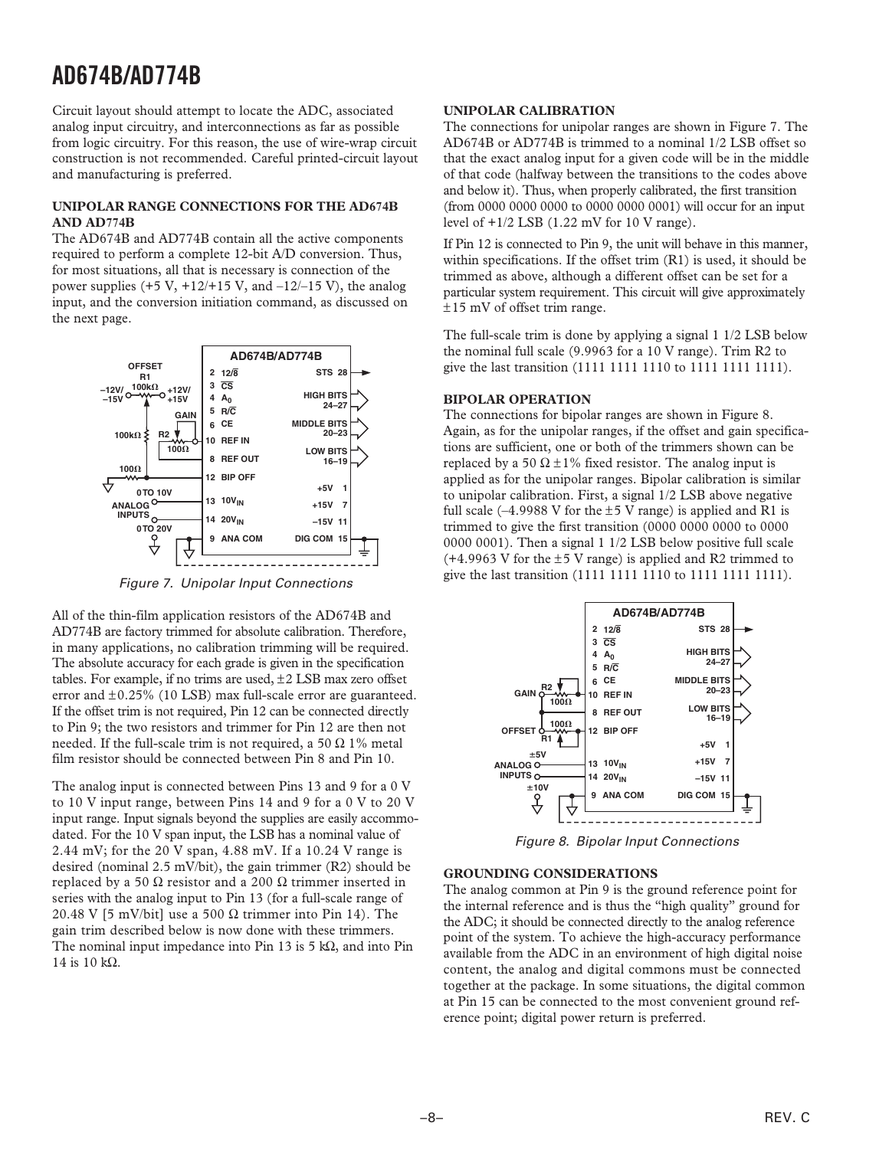Circuit layout should attempt to locate the ADC, associated analog input circuitry, and interconnections as far as possible from logic circuitry. For this reason, the use of wire-wrap circuit construction is not recommended. Careful printed-circuit layout and manufacturing is preferred.

#### **UNIPOLAR RANGE CONNECTIONS FOR THE AD674B AND AD774B**

The AD674B and AD774B contain all the active components required to perform a complete 12-bit A/D conversion. Thus, for most situations, all that is necessary is connection of the power supplies  $(+5 \text{ V}, +12/+15 \text{ V}, \text{ and } -12/–15 \text{ V})$ , the analog input, and the conversion initiation command, as discussed on the next page.



Figure 7. Unipolar Input Connections

All of the thin-film application resistors of the AD674B and AD774B are factory trimmed for absolute calibration. Therefore, in many applications, no calibration trimming will be required. The absolute accuracy for each grade is given in the specification tables. For example, if no trims are used,  $\pm 2$  LSB max zero offset error and ±0.25% (10 LSB) max full-scale error are guaranteed. If the offset trim is not required, Pin 12 can be connected directly to Pin 9; the two resistors and trimmer for Pin 12 are then not needed. If the full-scale trim is not required, a 50  $\Omega$  1% metal film resistor should be connected between Pin 8 and Pin 10.

The analog input is connected between Pins 13 and 9 for a 0 V to 10 V input range, between Pins 14 and 9 for a 0 V to 20 V input range. Input signals beyond the supplies are easily accommodated. For the 10 V span input, the LSB has a nominal value of 2.44 mV; for the 20 V span, 4.88 mV. If a 10.24 V range is desired (nominal 2.5 mV/bit), the gain trimmer (R2) should be replaced by a 50 Ω resistor and a 200 Ω trimmer inserted in series with the analog input to Pin 13 (for a full-scale range of 20.48 V [5 mV/bit] use a 500  $\Omega$  trimmer into Pin 14). The gain trim described below is now done with these trimmers. The nominal input impedance into Pin 13 is 5 kΩ, and into Pin 14 is 10 kΩ.

#### **UNIPOLAR CALIBRATION**

The connections for unipolar ranges are shown in Figure 7. The AD674B or AD774B is trimmed to a nominal 1/2 LSB offset so that the exact analog input for a given code will be in the middle of that code (halfway between the transitions to the codes above and below it). Thus, when properly calibrated, the first transition (from 0000 0000 0000 to 0000 0000 0001) will occur for an input level of  $+1/2$  LSB (1.22 mV for 10 V range).

If Pin 12 is connected to Pin 9, the unit will behave in this manner, within specifications. If the offset trim  $(R1)$  is used, it should be trimmed as above, although a different offset can be set for a particular system requirement. This circuit will give approximately ±15 mV of offset trim range.

The full-scale trim is done by applying a signal 1 1/2 LSB below the nominal full scale (9.9963 for a 10 V range). Trim R2 to give the last transition (1111 1111 1110 to 1111 1111 1111).

#### **BIPOLAR OPERATION**

The connections for bipolar ranges are shown in Figure 8. Again, as for the unipolar ranges, if the offset and gain specifications are sufficient, one or both of the trimmers shown can be replaced by a 50  $\Omega \pm 1\%$  fixed resistor. The analog input is applied as for the unipolar ranges. Bipolar calibration is similar to unipolar calibration. First, a signal 1/2 LSB above negative full scale  $(-4.9988 \text{ V}$  for the  $\pm 5 \text{ V}$  range) is applied and R1 is trimmed to give the first transition (0000 0000 0000 to 0000 0000 0001). Then a signal 1 1/2 LSB below positive full scale  $(+4.9963 \text{ V}$  for the  $\pm 5 \text{ V}$  range) is applied and R2 trimmed to give the last transition (1111 1111 1110 to 1111 1111 1111).



Figure 8. Bipolar Input Connections

#### **GROUNDING CONSIDERATIONS**

The analog common at Pin 9 is the ground reference point for the internal reference and is thus the "high quality" ground for the ADC; it should be connected directly to the analog reference point of the system. To achieve the high-accuracy performance available from the ADC in an environment of high digital noise content, the analog and digital commons must be connected together at the package. In some situations, the digital common at Pin 15 can be connected to the most convenient ground reference point; digital power return is preferred.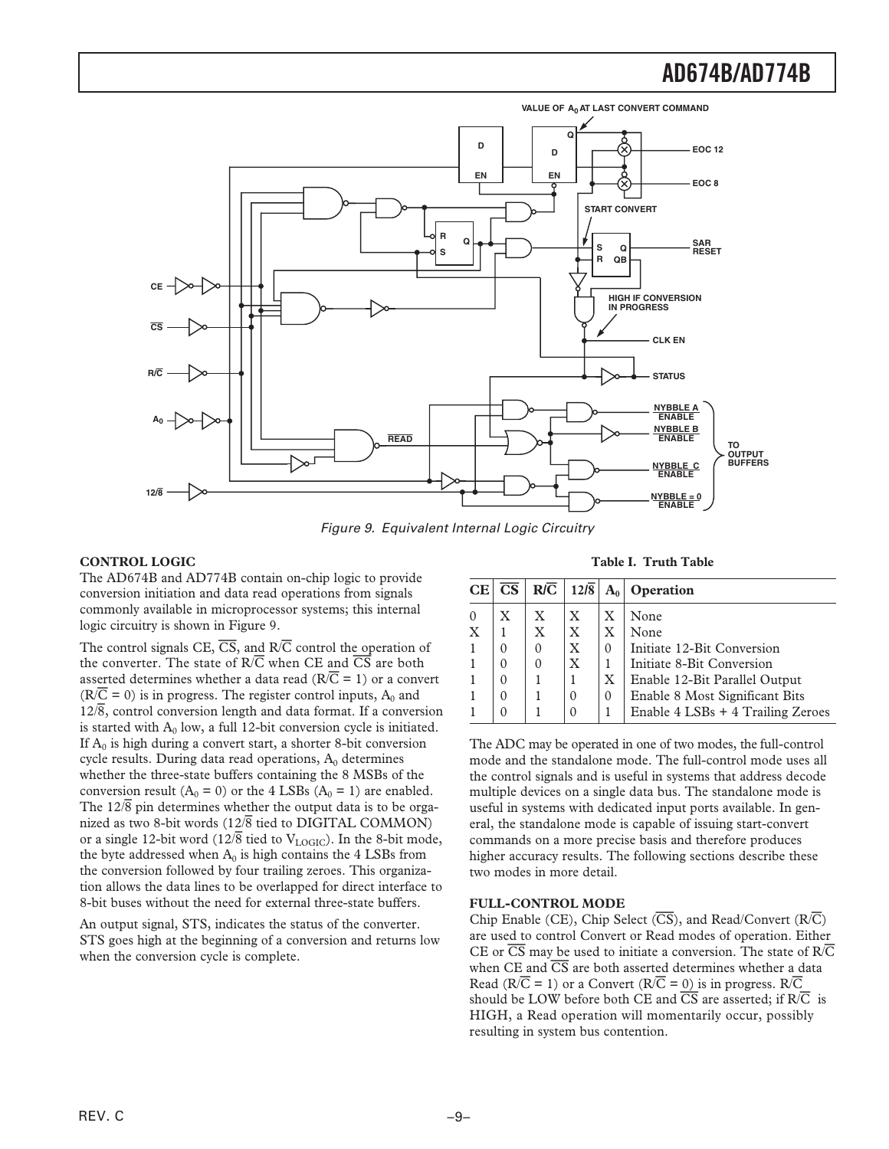

Figure 9. Equivalent Internal Logic Circuitry

#### **CONTROL LOGIC**

The AD674B and AD774B contain on-chip logic to provide conversion initiation and data read operations from signals commonly available in microprocessor systems; this internal logic circuitry is shown in Figure 9.

The control signals CE, *CS*, and R/*C* control the operation of the converter. The state of R/*C* when CE and *CS* are both asserted determines whether a data read ( $R/\overline{C} = 1$ ) or a convert  $(R/\overline{C} = 0)$  is in progress. The register control inputs, A<sub>0</sub> and 12/*8*, control conversion length and data format. If a conversion is started with  $A_0$  low, a full 12-bit conversion cycle is initiated. If  $A_0$  is high during a convert start, a shorter 8-bit conversion cycle results. During data read operations,  $A_0$  determines whether the three-state buffers containing the 8 MSBs of the conversion result  $(A_0 = 0)$  or the 4 LSBs  $(A_0 = 1)$  are enabled. The  $12/\overline{8}$  pin determines whether the output data is to be organized as two 8-bit words (12/*8* tied to DIGITAL COMMON) or a single 12-bit word (12/ $\overline{8}$  tied to V<sub>LOGIC</sub>). In the 8-bit mode, the byte addressed when  $A_0$  is high contains the 4 LSBs from the conversion followed by four trailing zeroes. This organization allows the data lines to be overlapped for direct interface to 8-bit buses without the need for external three-state buffers.

An output signal, STS, indicates the status of the converter. STS goes high at the beginning of a conversion and returns low when the conversion cycle is complete.

#### **Table I. Truth Table**

| <b>CE</b> | $\overline{\text{CS}}$ | $R/\overline{C}$ | 12/8         | $A_0$    | Operation                         |
|-----------|------------------------|------------------|--------------|----------|-----------------------------------|
| $\Omega$  | X                      | X                | X            | X        | None                              |
| X         |                        | $\mathbf{X}$     | $\mathbf{X}$ | X        | None                              |
|           | 0                      | $\theta$         | X            | $\Omega$ | Initiate 12-Bit Conversion        |
|           | $\Omega$               | $\Omega$         | $\mathbf{X}$ |          | Initiate 8-Bit Conversion         |
|           | $\Omega$               |                  |              | X        | Enable 12-Bit Parallel Output     |
|           | $\Omega$               |                  | $\Omega$     | $\Omega$ | Enable 8 Most Significant Bits    |
|           |                        |                  |              |          | Enable 4 LSBs + 4 Trailing Zeroes |

The ADC may be operated in one of two modes, the full-control mode and the standalone mode. The full-control mode uses all the control signals and is useful in systems that address decode multiple devices on a single data bus. The standalone mode is useful in systems with dedicated input ports available. In general, the standalone mode is capable of issuing start-convert commands on a more precise basis and therefore produces higher accuracy results. The following sections describe these two modes in more detail.

#### **FULL-CONTROL MODE**

Chip Enable (CE), Chip Select (*CS*), and Read/Convert (R/*C*) are used to control Convert or Read modes of operation. Either CE or *CS* may be used to initiate a conversion. The state of R/*C* when CE and *CS* are both asserted determines whether a data Read ( $R/\overline{C} = 1$ ) or a Convert ( $R/\overline{C} = 0$ ) is in progress.  $R/\overline{C}$ should be LOW before both CE and  $\overline{CS}$  are asserted; if  $R/\overline{C}$  is HIGH, a Read operation will momentarily occur, possibly resulting in system bus contention.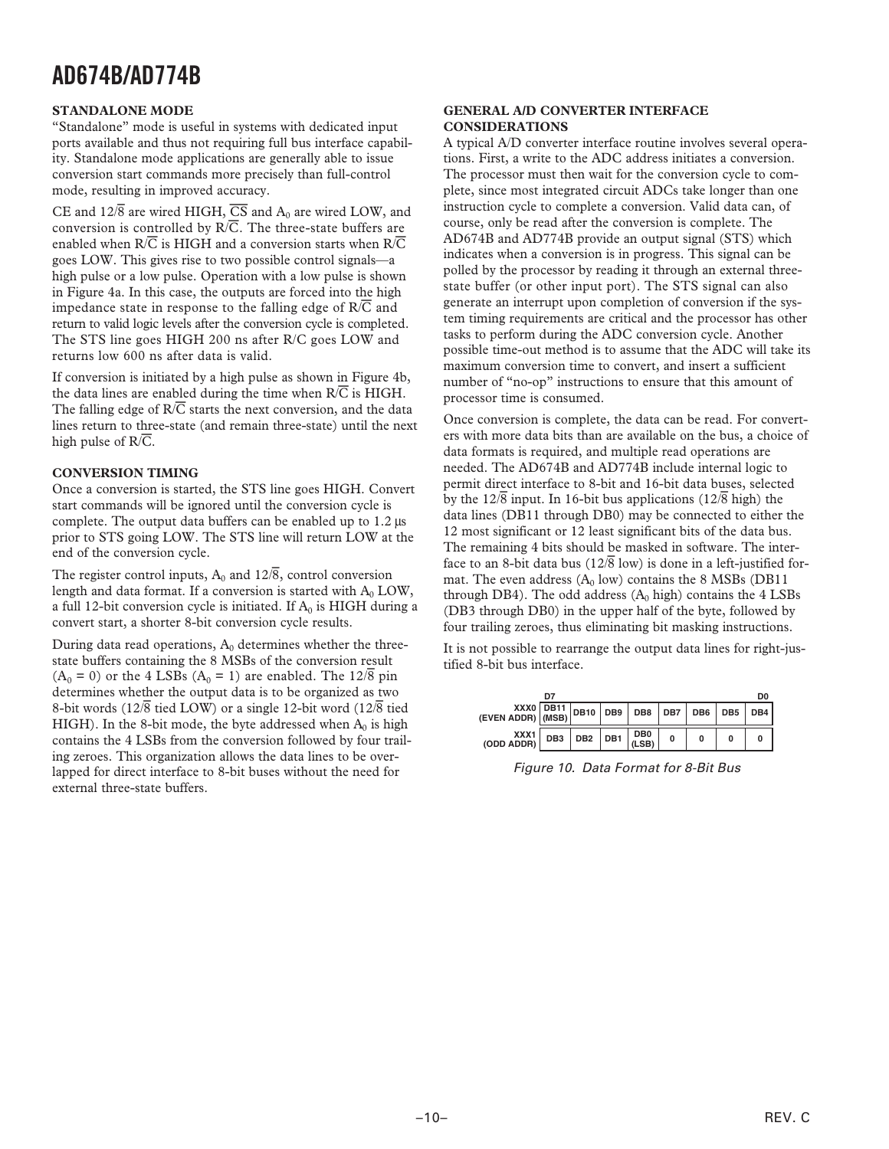#### **STANDALONE MODE**

"Standalone" mode is useful in systems with dedicated input ports available and thus not requiring full bus interface capability. Standalone mode applications are generally able to issue conversion start commands more precisely than full-control mode, resulting in improved accuracy.

CE and  $12\sqrt{8}$  are wired HIGH,  $\overline{CS}$  and  $A_0$  are wired LOW, and conversion is controlled by  $R/\overline{C}$ . The three-state buffers are enabled when R/*C* is HIGH and a conversion starts when R/*C* goes LOW. This gives rise to two possible control signals—a high pulse or a low pulse. Operation with a low pulse is shown in Figure 4a. In this case, the outputs are forced into the high impedance state in response to the falling edge of R/*C* and return to valid logic levels after the conversion cycle is completed. The STS line goes HIGH 200 ns after R/C goes LOW and returns low 600 ns after data is valid.

If conversion is initiated by a high pulse as shown in Figure 4b, the data lines are enabled during the time when  $R/\overline{C}$  is HIGH. The falling edge of  $R/\overline{C}$  starts the next conversion, and the data lines return to three-state (and remain three-state) until the next high pulse of R/*C*.

#### **CONVERSION TIMING**

Once a conversion is started, the STS line goes HIGH. Convert start commands will be ignored until the conversion cycle is complete. The output data buffers can be enabled up to 1.2 µs prior to STS going LOW. The STS line will return LOW at the end of the conversion cycle.

The register control inputs,  $A_0$  and  $12\sqrt{8}$ , control conversion length and data format. If a conversion is started with  $A_0$  LOW, a full 12-bit conversion cycle is initiated. If  $A_0$  is HIGH during a convert start, a shorter 8-bit conversion cycle results.

During data read operations,  $A_0$  determines whether the threestate buffers containing the 8 MSBs of the conversion result  $(A_0 = 0)$  or the 4 LSBs  $(A_0 = 1)$  are enabled. The  $12\sqrt{8}$  pin determines whether the output data is to be organized as two 8-bit words (12/*8* tied LOW) or a single 12-bit word (12/*8* tied HIGH). In the 8-bit mode, the byte addressed when  $A_0$  is high contains the 4 LSBs from the conversion followed by four trailing zeroes. This organization allows the data lines to be overlapped for direct interface to 8-bit buses without the need for external three-state buffers.

#### **GENERAL A/D CONVERTER INTERFACE CONSIDERATIONS**

A typical A/D converter interface routine involves several operations. First, a write to the ADC address initiates a conversion. The processor must then wait for the conversion cycle to complete, since most integrated circuit ADCs take longer than one instruction cycle to complete a conversion. Valid data can, of course, only be read after the conversion is complete. The AD674B and AD774B provide an output signal (STS) which indicates when a conversion is in progress. This signal can be polled by the processor by reading it through an external threestate buffer (or other input port). The STS signal can also generate an interrupt upon completion of conversion if the system timing requirements are critical and the processor has other tasks to perform during the ADC conversion cycle. Another possible time-out method is to assume that the ADC will take its maximum conversion time to convert, and insert a sufficient number of "no-op" instructions to ensure that this amount of processor time is consumed.

Once conversion is complete, the data can be read. For converters with more data bits than are available on the bus, a choice of data formats is required, and multiple read operations are needed. The AD674B and AD774B include internal logic to permit direct interface to 8-bit and 16-bit data buses, selected by the  $12\sqrt{8}$  input. In 16-bit bus applications ( $12\sqrt{8}$  high) the data lines (DB11 through DB0) may be connected to either the 12 most significant or 12 least significant bits of the data bus. The remaining 4 bits should be masked in software. The interface to an 8-bit data bus (12/*8* low) is done in a left-justified format. The even address  $(A_0 \text{ low})$  contains the 8 MSBs (DB11 through DB4). The odd address  $(A_0$  high) contains the  $4$  LSBs (DB3 through DB0) in the upper half of the byte, followed by four trailing zeroes, thus eliminating bit masking instructions.

It is not possible to rearrange the output data lines for right-justified 8-bit bus interface.

|                                                                                                                                                            | D7 |             |                                                                          |   |  | D0 |
|------------------------------------------------------------------------------------------------------------------------------------------------------------|----|-------------|--------------------------------------------------------------------------|---|--|----|
| $\begin{array}{c c c c c c c c} \ \hline & & & & \ \hline & & & \ \hline & & & \ \hline & & & \ \hline \end{array}$ (MSB) DB10 DB9 DB8 DB7 DB7 DB6 DB5 DB4 |    |             |                                                                          |   |  |    |
| XXX1<br>$(ODD$ ADDR)                                                                                                                                       |    | DB3 DB2 DB1 | $\left  \begin{array}{c} \text{DB0} \\ \text{(LSB)} \end{array} \right $ | 0 |  |    |

Figure 10. Data Format for 8-Bit Bus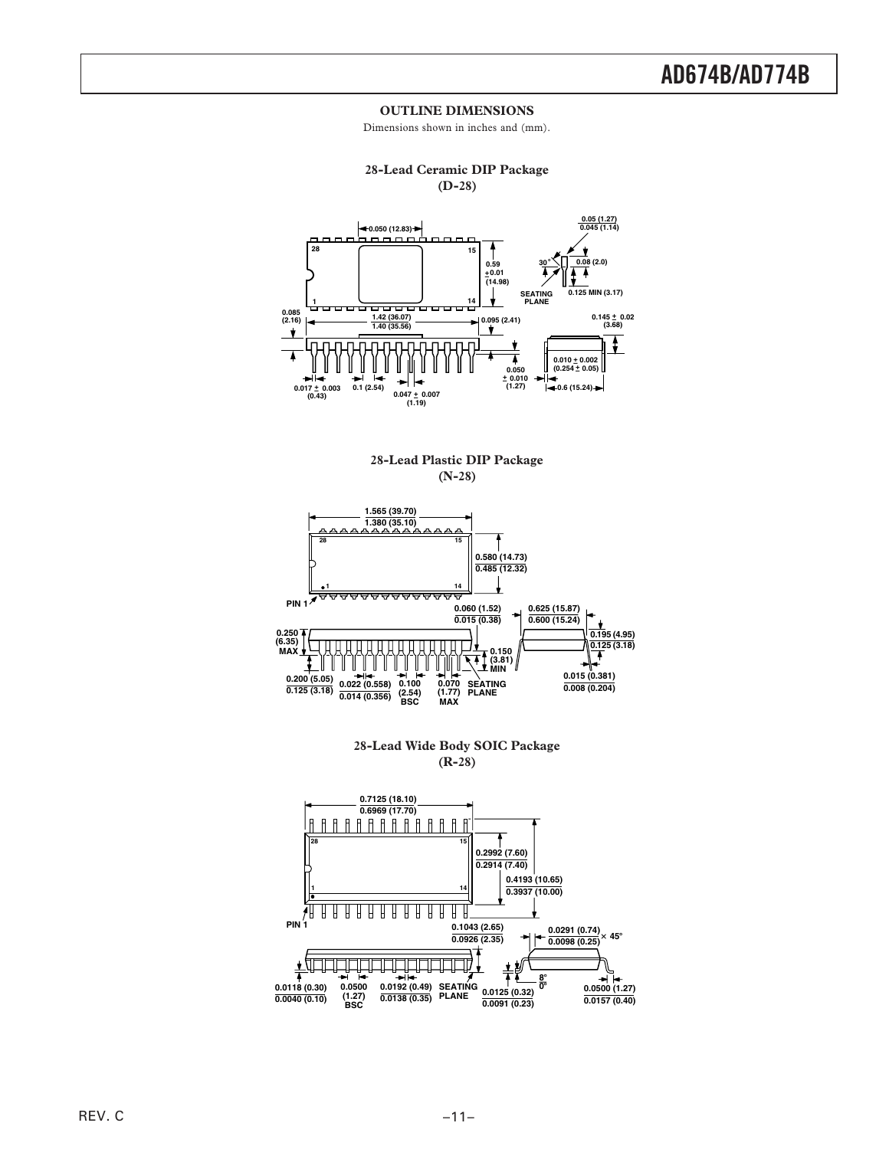#### **OUTLINE DIMENSIONS**

Dimensions shown in inches and (mm).



**28-Lead Plastic DIP Package (N-28)**



**28-Lead Wide Body SOIC Package (R-28)**